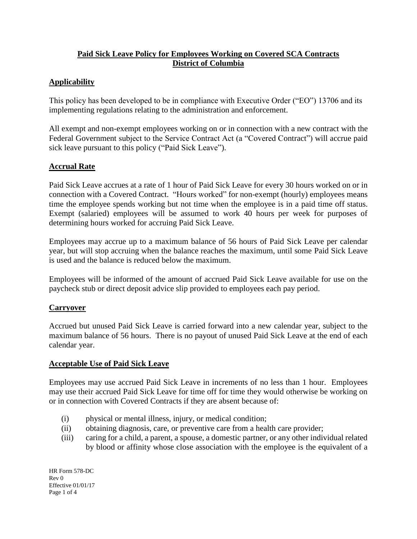# **Paid Sick Leave Policy for Employees Working on Covered SCA Contracts District of Columbia**

# **Applicability**

This policy has been developed to be in compliance with Executive Order ("EO") 13706 and its implementing regulations relating to the administration and enforcement.

All exempt and non-exempt employees working on or in connection with a new contract with the Federal Government subject to the Service Contract Act (a "Covered Contract") will accrue paid sick leave pursuant to this policy ("Paid Sick Leave").

## **Accrual Rate**

Paid Sick Leave accrues at a rate of 1 hour of Paid Sick Leave for every 30 hours worked on or in connection with a Covered Contract. "Hours worked" for non-exempt (hourly) employees means time the employee spends working but not time when the employee is in a paid time off status. Exempt (salaried) employees will be assumed to work 40 hours per week for purposes of determining hours worked for accruing Paid Sick Leave.

Employees may accrue up to a maximum balance of 56 hours of Paid Sick Leave per calendar year, but will stop accruing when the balance reaches the maximum, until some Paid Sick Leave is used and the balance is reduced below the maximum.

Employees will be informed of the amount of accrued Paid Sick Leave available for use on the paycheck stub or direct deposit advice slip provided to employees each pay period.

## **Carryover**

Accrued but unused Paid Sick Leave is carried forward into a new calendar year, subject to the maximum balance of 56 hours. There is no payout of unused Paid Sick Leave at the end of each calendar year.

## **Acceptable Use of Paid Sick Leave**

Employees may use accrued Paid Sick Leave in increments of no less than 1 hour. Employees may use their accrued Paid Sick Leave for time off for time they would otherwise be working on or in connection with Covered Contracts if they are absent because of:

- (i) physical or mental illness, injury, or medical condition;
- (ii) obtaining diagnosis, care, or preventive care from a health care provider;
- (iii) caring for a child, a parent, a spouse, a domestic partner, or any other individual related by blood or affinity whose close association with the employee is the equivalent of a

HR Form 578-DC Rev 0 Effective 01/01/17 Page 1 of 4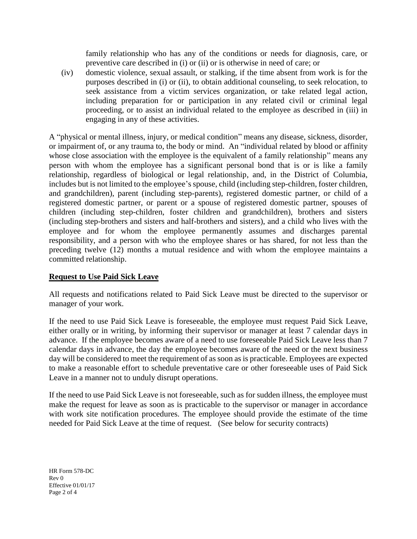family relationship who has any of the conditions or needs for diagnosis, care, or preventive care described in (i) or (ii) or is otherwise in need of care; or

(iv) domestic violence, sexual assault, or stalking, if the time absent from work is for the purposes described in (i) or (ii), to obtain additional counseling, to seek relocation, to seek assistance from a victim services organization, or take related legal action, including preparation for or participation in any related civil or criminal legal proceeding, or to assist an individual related to the employee as described in (iii) in engaging in any of these activities.

A "physical or mental illness, injury, or medical condition" means any disease, sickness, disorder, or impairment of, or any trauma to, the body or mind. An "individual related by blood or affinity whose close association with the employee is the equivalent of a family relationship" means any person with whom the employee has a significant personal bond that is or is like a family relationship, regardless of biological or legal relationship, and, in the District of Columbia, includes but is not limited to the employee's spouse, child (including step-children, foster children, and grandchildren), parent (including step-parents), registered domestic partner, or child of a registered domestic partner, or parent or a spouse of registered domestic partner, spouses of children (including step-children, foster children and grandchildren), brothers and sisters (including step-brothers and sisters and half-brothers and sisters), and a child who lives with the employee and for whom the employee permanently assumes and discharges parental responsibility, and a person with who the employee shares or has shared, for not less than the preceding twelve (12) months a mutual residence and with whom the employee maintains a committed relationship.

## **Request to Use Paid Sick Leave**

All requests and notifications related to Paid Sick Leave must be directed to the supervisor or manager of your work.

If the need to use Paid Sick Leave is foreseeable, the employee must request Paid Sick Leave, either orally or in writing, by informing their supervisor or manager at least 7 calendar days in advance. If the employee becomes aware of a need to use foreseeable Paid Sick Leave less than 7 calendar days in advance, the day the employee becomes aware of the need or the next business day will be considered to meet the requirement of as soon as is practicable. Employees are expected to make a reasonable effort to schedule preventative care or other foreseeable uses of Paid Sick Leave in a manner not to unduly disrupt operations.

If the need to use Paid Sick Leave is not foreseeable, such as for sudden illness, the employee must make the request for leave as soon as is practicable to the supervisor or manager in accordance with work site notification procedures. The employee should provide the estimate of the time needed for Paid Sick Leave at the time of request. (See below for security contracts)

HR Form 578-DC Rev 0 Effective 01/01/17 Page 2 of 4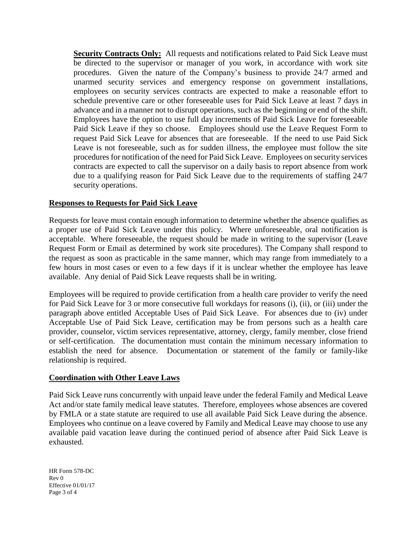**Security Contracts Only:** All requests and notifications related to Paid Sick Leave must be directed to the supervisor or manager of you work, in accordance with work site procedures. Given the nature of the Company's business to provide 24/7 armed and unarmed security services and emergency response on government installations, employees on security services contracts are expected to make a reasonable effort to schedule preventive care or other foreseeable uses for Paid Sick Leave at least 7 days in advance and in a manner not to disrupt operations, such as the beginning or end of the shift. Employees have the option to use full day increments of Paid Sick Leave for foreseeable Paid Sick Leave if they so choose. Employees should use the Leave Request Form to request Paid Sick Leave for absences that are foreseeable. If the need to use Paid Sick Leave is not foreseeable, such as for sudden illness, the employee must follow the site procedures for notification of the need for Paid Sick Leave. Employees on security services contracts are expected to call the supervisor on a daily basis to report absence from work due to a qualifying reason for Paid Sick Leave due to the requirements of staffing 24/7 security operations.

### **Responses to Requests for Paid Sick Leave**

Requests for leave must contain enough information to determine whether the absence qualifies as a proper use of Paid Sick Leave under this policy. Where unforeseeable, oral notification is acceptable. Where foreseeable, the request should be made in writing to the supervisor (Leave Request Form or Email as determined by work site procedures). The Company shall respond to the request as soon as practicable in the same manner, which may range from immediately to a few hours in most cases or even to a few days if it is unclear whether the employee has leave available. Any denial of Paid Sick Leave requests shall be in writing.

Employees will be required to provide certification from a health care provider to verify the need for Paid Sick Leave for 3 or more consecutive full workdays for reasons (i), (ii), or (iii) under the paragraph above entitled Acceptable Uses of Paid Sick Leave. For absences due to (iv) under Acceptable Use of Paid Sick Leave, certification may be from persons such as a health care provider, counselor, victim services representative, attorney, clergy, family member, close friend or self-certification. The documentation must contain the minimum necessary information to establish the need for absence. Documentation or statement of the family or family-like relationship is required.

### **Coordination with Other Leave Laws**

Paid Sick Leave runs concurrently with unpaid leave under the federal Family and Medical Leave Act and/or state family medical leave statutes. Therefore, employees whose absences are covered by FMLA or a state statute are required to use all available Paid Sick Leave during the absence. Employees who continue on a leave covered by Family and Medical Leave may choose to use any available paid vacation leave during the continued period of absence after Paid Sick Leave is exhausted.

HR Form 578-DC Rev 0 Effective 01/01/17 Page 3 of 4